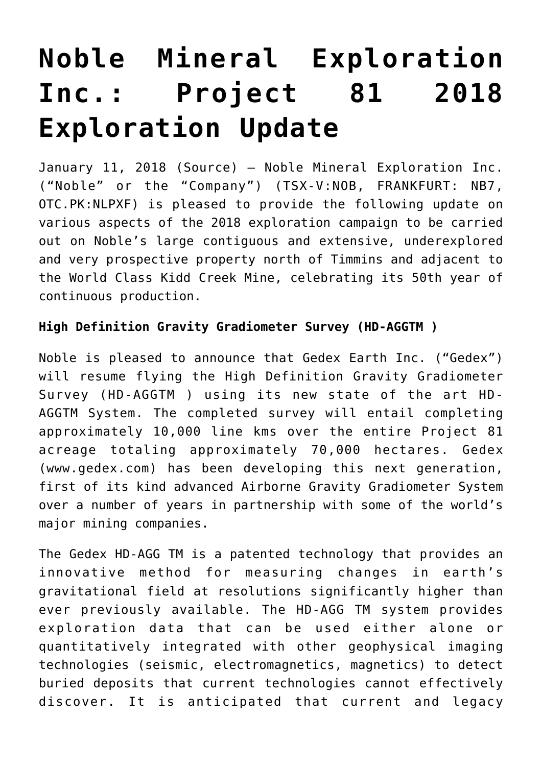# **[Noble Mineral Exploration](https://investorintel.com/markets/gold-silver-base-metals/gold-precious-metals-news/noble-mineral-exploration-inc-project-81-2018-exploration-update/) [Inc.: Project 81 2018](https://investorintel.com/markets/gold-silver-base-metals/gold-precious-metals-news/noble-mineral-exploration-inc-project-81-2018-exploration-update/) [Exploration Update](https://investorintel.com/markets/gold-silver-base-metals/gold-precious-metals-news/noble-mineral-exploration-inc-project-81-2018-exploration-update/)**

January 11, 2018 ([Source](https://investorintel.com/iintel-members/noble-mineral-exploration-inc/)) — Noble Mineral Exploration Inc. ("Noble" or the "Company") (TSX-V:NOB, FRANKFURT: NB7, OTC.PK:NLPXF) is pleased to provide the following update on various aspects of the 2018 exploration campaign to be carried out on Noble's large contiguous and extensive, underexplored and very prospective property north of Timmins and adjacent to the World Class Kidd Creek Mine, celebrating its 50th year of continuous production.

# **High Definition Gravity Gradiometer Survey (HD-AGGTM )**

Noble is pleased to announce that Gedex Earth Inc. ("Gedex") will resume flying the High Definition Gravity Gradiometer Survey (HD-AGGTM ) using its new state of the art HD-AGGTM System. The completed survey will entail completing approximately 10,000 line kms over the entire Project 81 acreage totaling approximately 70,000 hectares. Gedex (www.gedex.com) has been developing this next generation, first of its kind advanced Airborne Gravity Gradiometer System over a number of years in partnership with some of the world's major mining companies.

The Gedex HD-AGG TM is a patented technology that provides an innovative method for measuring changes in earth's gravitational field at resolutions significantly higher than ever previously available. The HD-AGG TM system provides exploration data that can be used either alone or quantitatively integrated with other geophysical imaging technologies (seismic, electromagnetics, magnetics) to detect buried deposits that current technologies cannot effectively discover. It is anticipated that current and legacy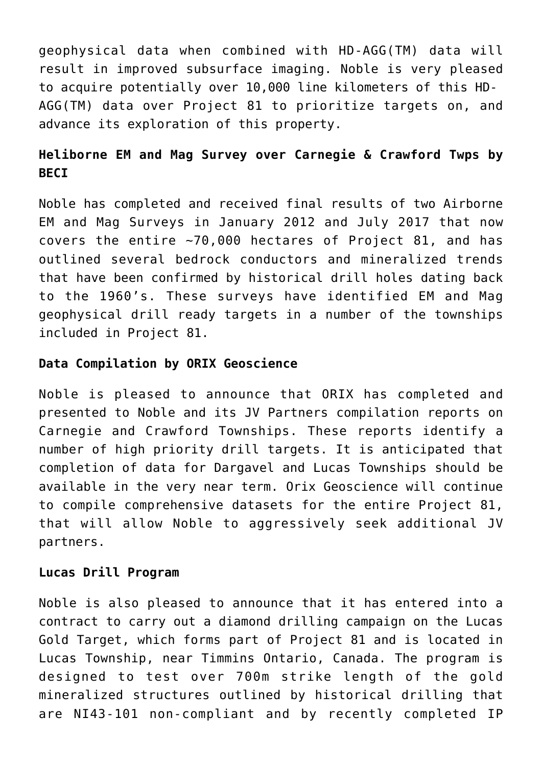geophysical data when combined with HD-AGG(TM) data will result in improved subsurface imaging. Noble is very pleased to acquire potentially over 10,000 line kilometers of this HD-AGG(TM) data over Project 81 to prioritize targets on, and advance its exploration of this property.

# **Heliborne EM and Mag Survey over Carnegie & Crawford Twps by BECI**

Noble has completed and received final results of two Airborne EM and Mag Surveys in January 2012 and July 2017 that now covers the entire ~70,000 hectares of Project 81, and has outlined several bedrock conductors and mineralized trends that have been confirmed by historical drill holes dating back to the 1960's. These surveys have identified EM and Mag geophysical drill ready targets in a number of the townships included in Project 81.

## **Data Compilation by ORIX Geoscience**

Noble is pleased to announce that ORIX has completed and presented to Noble and its JV Partners compilation reports on Carnegie and Crawford Townships. These reports identify a number of high priority drill targets. It is anticipated that completion of data for Dargavel and Lucas Townships should be available in the very near term. Orix Geoscience will continue to compile comprehensive datasets for the entire Project 81, that will allow Noble to aggressively seek additional JV partners.

#### **Lucas Drill Program**

Noble is also pleased to announce that it has entered into a contract to carry out a diamond drilling campaign on the Lucas Gold Target, which forms part of Project 81 and is located in Lucas Township, near Timmins Ontario, Canada. The program is designed to test over 700m strike length of the gold mineralized structures outlined by historical drilling that are NI43-101 non-compliant and by recently completed IP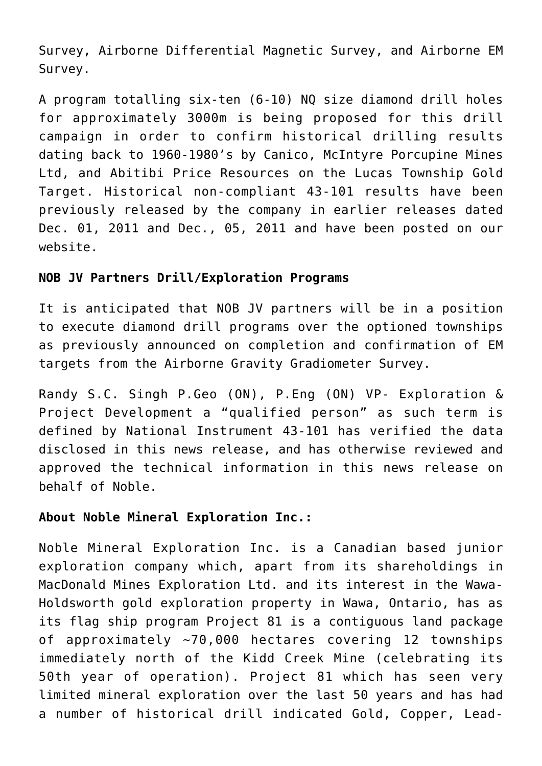Survey, Airborne Differential Magnetic Survey, and Airborne EM Survey.

A program totalling six-ten (6-10) NQ size diamond drill holes for approximately 3000m is being proposed for this drill campaign in order to confirm historical drilling results dating back to 1960-1980's by Canico, McIntyre Porcupine Mines Ltd, and Abitibi Price Resources on the Lucas Township Gold Target. Historical non-compliant 43-101 results have been previously released by the company in earlier releases dated Dec. 01, 2011 and Dec., 05, 2011 and have been posted on our website.

# **NOB JV Partners Drill/Exploration Programs**

It is anticipated that NOB JV partners will be in a position to execute diamond drill programs over the optioned townships as previously announced on completion and confirmation of EM targets from the Airborne Gravity Gradiometer Survey.

Randy S.C. Singh P.Geo (ON), P.Eng (ON) VP- Exploration & Project Development a "qualified person" as such term is defined by National Instrument 43-101 has verified the data disclosed in this news release, and has otherwise reviewed and approved the technical information in this news release on behalf of Noble.

# **About Noble Mineral Exploration Inc.:**

Noble Mineral Exploration Inc. is a Canadian based junior exploration company which, apart from its shareholdings in MacDonald Mines Exploration Ltd. and its interest in the Wawa-Holdsworth gold exploration property in Wawa, Ontario, has as its flag ship program Project 81 is a contiguous land package of approximately ~70,000 hectares covering 12 townships immediately north of the Kidd Creek Mine (celebrating its 50th year of operation). Project 81 which has seen very limited mineral exploration over the last 50 years and has had a number of historical drill indicated Gold, Copper, Lead-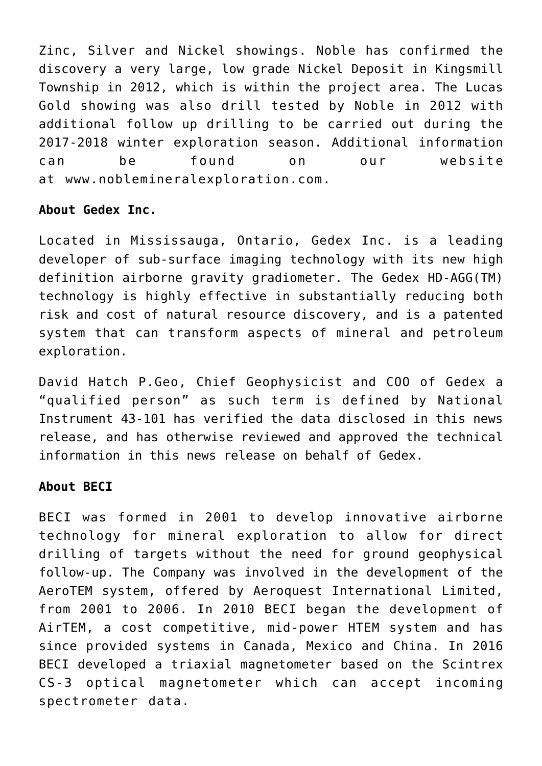Zinc, Silver and Nickel showings. Noble has confirmed the discovery a very large, low grade Nickel Deposit in Kingsmill Township in 2012, which is within the project area. The Lucas Gold showing was also drill tested by Noble in 2012 with additional follow up drilling to be carried out during the 2017-2018 winter exploration season. Additional information can be found on our website at [www.noblemineralexploration.com.](http://www.noblemineralexploration.com/)

## **About Gedex Inc.**

Located in Mississauga, Ontario, Gedex Inc. is a leading developer of sub-surface imaging technology with its new high definition airborne gravity gradiometer. The Gedex HD-AGG(TM) technology is highly effective in substantially reducing both risk and cost of natural resource discovery, and is a patented system that can transform aspects of mineral and petroleum exploration.

David Hatch P.Geo, Chief Geophysicist and COO of Gedex a "qualified person" as such term is defined by National Instrument 43-101 has verified the data disclosed in this news release, and has otherwise reviewed and approved the technical information in this news release on behalf of Gedex.

#### **About BECI**

BECI was formed in 2001 to develop innovative airborne technology for mineral exploration to allow for direct drilling of targets without the need for ground geophysical follow-up. The Company was involved in the development of the AeroTEM system, offered by Aeroquest International Limited, from 2001 to 2006. In 2010 BECI began the development of AirTEM, a cost competitive, mid-power HTEM system and has since provided systems in Canada, Mexico and China. In 2016 BECI developed a triaxial magnetometer based on the Scintrex CS-3 optical magnetometer which can accept incoming spectrometer data.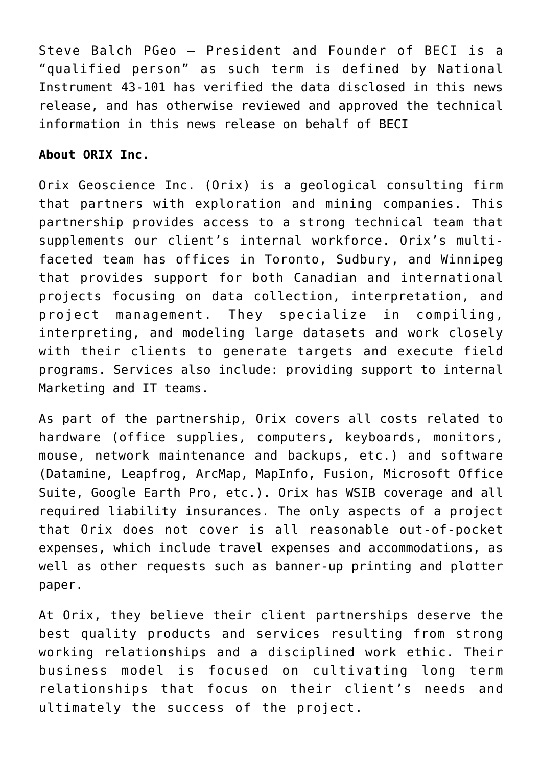Steve Balch PGeo – President and Founder of BECI is a "qualified person" as such term is defined by National Instrument 43-101 has verified the data disclosed in this news release, and has otherwise reviewed and approved the technical information in this news release on behalf of BECI

#### **About ORIX Inc.**

Orix Geoscience Inc. (Orix) is a geological consulting firm that partners with exploration and mining companies. This partnership provides access to a strong technical team that supplements our client's internal workforce. Orix's multifaceted team has offices in Toronto, Sudbury, and Winnipeg that provides support for both Canadian and international projects focusing on data collection, interpretation, and project management. They specialize in compiling, interpreting, and modeling large datasets and work closely with their clients to generate targets and execute field programs. Services also include: providing support to internal Marketing and IT teams.

As part of the partnership, Orix covers all costs related to hardware (office supplies, computers, keyboards, monitors, mouse, network maintenance and backups, etc.) and software (Datamine, Leapfrog, ArcMap, MapInfo, Fusion, Microsoft Office Suite, Google Earth Pro, etc.). Orix has WSIB coverage and all required liability insurances. The only aspects of a project that Orix does not cover is all reasonable out-of-pocket expenses, which include travel expenses and accommodations, as well as other requests such as banner-up printing and plotter paper.

At Orix, they believe their client partnerships deserve the best quality products and services resulting from strong working relationships and a disciplined work ethic. Their business model is focused on cultivating long term relationships that focus on their client's needs and ultimately the success of the project.